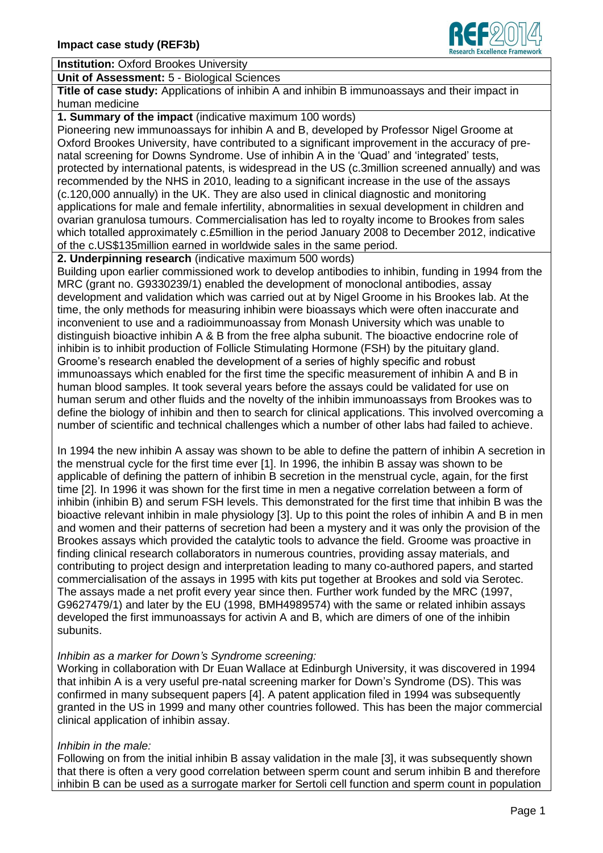

**Institution:** Oxford Brookes University

**Unit of Assessment:** 5 - Biological Sciences

**Title of case study:** Applications of inhibin A and inhibin B immunoassays and their impact in human medicine

**1. Summary of the impact** (indicative maximum 100 words)

Pioneering new immunoassays for inhibin A and B, developed by Professor Nigel Groome at Oxford Brookes University, have contributed to a significant improvement in the accuracy of prenatal screening for Downs Syndrome. Use of inhibin A in the 'Quad' and 'integrated' tests, protected by international patents, is widespread in the US (c.3million screened annually) and was recommended by the NHS in 2010, leading to a significant increase in the use of the assays (c.120,000 annually) in the UK. They are also used in clinical diagnostic and monitoring applications for male and female infertility, abnormalities in sexual development in children and ovarian granulosa tumours. Commercialisation has led to royalty income to Brookes from sales which totalled approximately c.£5million in the period January 2008 to December 2012, indicative of the c.US\$135million earned in worldwide sales in the same period.

**2. Underpinning research** (indicative maximum 500 words)

Building upon earlier commissioned work to develop antibodies to inhibin, funding in 1994 from the MRC (grant no. G9330239/1) enabled the development of monoclonal antibodies, assay development and validation which was carried out at by Nigel Groome in his Brookes lab. At the time, the only methods for measuring inhibin were bioassays which were often inaccurate and inconvenient to use and a radioimmunoassay from Monash University which was unable to distinguish bioactive inhibin A & B from the free alpha subunit. The bioactive endocrine role of inhibin is to inhibit production of Follicle Stimulating Hormone (FSH) by the pituitary gland. Groome's research enabled the development of a series of highly specific and robust immunoassays which enabled for the first time the specific measurement of inhibin A and B in human blood samples. It took several years before the assays could be validated for use on human serum and other fluids and the novelty of the inhibin immunoassays from Brookes was to define the biology of inhibin and then to search for clinical applications. This involved overcoming a number of scientific and technical challenges which a number of other labs had failed to achieve.

In 1994 the new inhibin A assay was shown to be able to define the pattern of inhibin A secretion in the menstrual cycle for the first time ever [1]. In 1996, the inhibin B assay was shown to be applicable of defining the pattern of inhibin B secretion in the menstrual cycle, again, for the first time [2]. In 1996 it was shown for the first time in men a negative correlation between a form of inhibin (inhibin B) and serum FSH levels. This demonstrated for the first time that inhibin B was the bioactive relevant inhibin in male physiology [3]. Up to this point the roles of inhibin A and B in men and women and their patterns of secretion had been a mystery and it was only the provision of the Brookes assays which provided the catalytic tools to advance the field. Groome was proactive in finding clinical research collaborators in numerous countries, providing assay materials, and contributing to project design and interpretation leading to many co-authored papers, and started commercialisation of the assays in 1995 with kits put together at Brookes and sold via Serotec. The assays made a net profit every year since then. Further work funded by the MRC (1997, G9627479/1) and later by the EU (1998, BMH4989574) with the same or related inhibin assays developed the first immunoassays for activin A and B, which are dimers of one of the inhibin subunits.

### *Inhibin as a marker for Down's Syndrome screening:*

Working in collaboration with Dr Euan Wallace at Edinburgh University, it was discovered in 1994 that inhibin A is a very useful pre-natal screening marker for Down's Syndrome (DS). This was confirmed in many subsequent papers [4]. A patent application filed in 1994 was subsequently granted in the US in 1999 and many other countries followed. This has been the major commercial clinical application of inhibin assay.

# *Inhibin in the male:*

Following on from the initial inhibin B assay validation in the male [3], it was subsequently shown that there is often a very good correlation between sperm count and serum inhibin B and therefore inhibin B can be used as a surrogate marker for Sertoli cell function and sperm count in population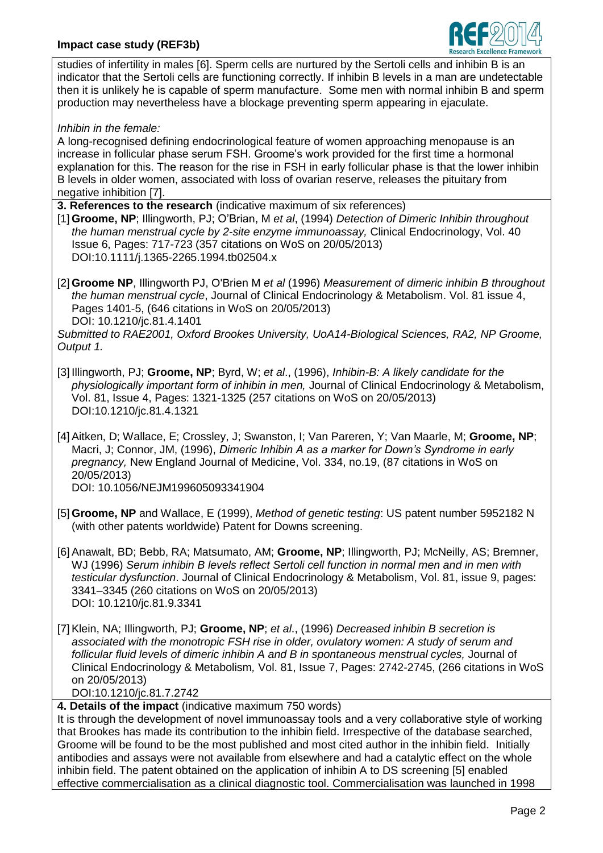

studies of infertility in males [6]. Sperm cells are nurtured by the Sertoli cells and inhibin B is an indicator that the Sertoli cells are functioning correctly. If inhibin B levels in a man are undetectable then it is unlikely he is capable of sperm manufacture. Some men with normal inhibin B and sperm production may nevertheless have a blockage preventing sperm appearing in ejaculate.

*Inhibin in the female:*

A long-recognised defining endocrinological feature of women approaching menopause is an increase in follicular phase serum FSH. Groome's work provided for the first time a hormonal explanation for this. The reason for the rise in FSH in early follicular phase is that the lower inhibin B levels in older women, associated with loss of ovarian reserve, releases the pituitary from negative inhibition [7].

- **3. References to the research** (indicative maximum of six references)
- [1] **Groome, NP**; Illingworth, PJ; O'Brian, M *et al*, (1994) *Detection of Dimeric Inhibin throughout the human menstrual cycle by 2-site enzyme immunoassay,* Clinical Endocrinology, Vol. 40 Issue 6, Pages: 717-723 (357 citations on WoS on 20/05/2013) DOI:10.1111/j.1365-2265.1994.tb02504.x
- [2] **Groome NP**, Illingworth PJ, O'Brien M *et al* (1996) *Measurement of dimeric inhibin B throughout the human menstrual cycle*, Journal of Clinical Endocrinology & Metabolism. Vol. 81 issue 4, Pages 1401-5, (646 citations in WoS on 20/05/2013) DOI: 10.1210/jc.81.4.1401

*Submitted to RAE2001, Oxford Brookes University, UoA14-Biological Sciences, RA2, NP Groome, Output 1.*

- [3] Illingworth, PJ; **Groome, NP**; Byrd, W; *et al*., (1996), *Inhibin-B: A likely candidate for the physiologically important form of inhibin in men,* Journal of Clinical Endocrinology & Metabolism, Vol. 81, Issue 4, Pages: 1321-1325 (257 citations on WoS on 20/05/2013) DOI:10.1210/jc.81.4.1321
- [4] Aitken, D; Wallace, E; Crossley, J; Swanston, I; Van Pareren, Y; Van Maarle, M; **Groome, NP**; Macri, J; Connor, JM, (1996), *Dimeric Inhibin A as a marker for Down's Syndrome in early pregnancy,* New England Journal of Medicine, Vol. 334, no.19, (87 citations in WoS on 20/05/2013) DOI: 10.1056/NEJM199605093341904
- [5] **Groome, NP** and Wallace, E (1999), *Method of genetic testing*: US patent number 5952182 N (with other patents worldwide) Patent for Downs screening.
- [6] Anawalt, BD; Bebb, RA; Matsumato, AM; **Groome, NP**; Illingworth, PJ; McNeilly, AS; Bremner, WJ (1996) *Serum inhibin B levels reflect Sertoli cell function in normal men and in men with testicular dysfunction*. Journal of Clinical Endocrinology & Metabolism, Vol. 81, issue 9, pages: 3341–3345 (260 citations on WoS on 20/05/2013) DOI: 10.1210/jc.81.9.3341
- [7] Klein, NA; Illingworth, PJ; **Groome, NP**; *et al*., (1996) *Decreased inhibin B secretion is associated with the monotropic FSH rise in older, ovulatory women: A study of serum and follicular fluid levels of dimeric inhibin A and B in spontaneous menstrual cycles,* Journal of Clinical Endocrinology & Metabolism*,* Vol. 81, Issue 7, Pages: 2742-2745, (266 citations in WoS on 20/05/2013) DOI:10.1210/jc.81.7.2742

**4. Details of the impact** (indicative maximum 750 words)

It is through the development of novel immunoassay tools and a very collaborative style of working that Brookes has made its contribution to the inhibin field. Irrespective of the database searched, Groome will be found to be the most published and most cited author in the inhibin field. Initially antibodies and assays were not available from elsewhere and had a catalytic effect on the whole inhibin field. The patent obtained on the application of inhibin A to DS screening [5] enabled effective commercialisation as a clinical diagnostic tool. Commercialisation was launched in 1998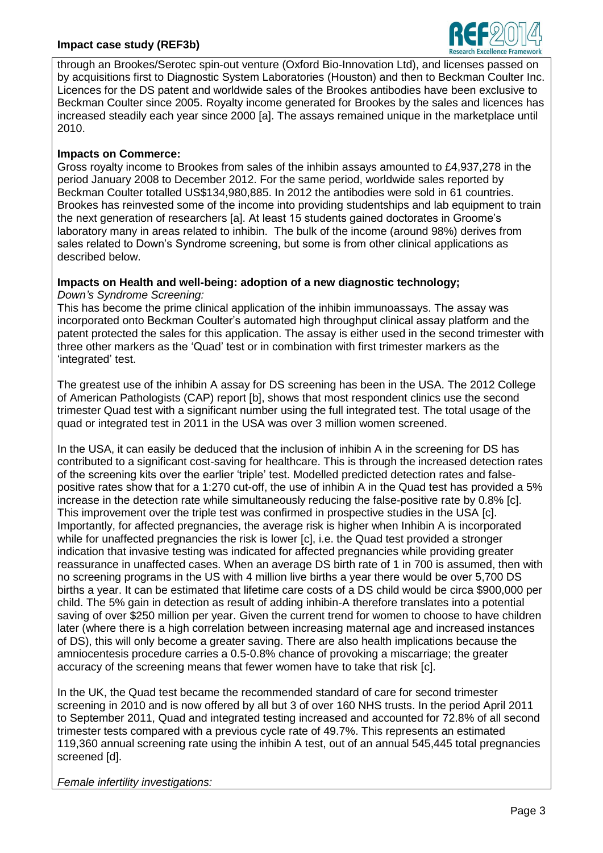### **Impact case study (REF3b)**



through an Brookes/Serotec spin-out venture (Oxford Bio-Innovation Ltd), and licenses passed on by acquisitions first to Diagnostic System Laboratories (Houston) and then to Beckman Coulter Inc. Licences for the DS patent and worldwide sales of the Brookes antibodies have been exclusive to Beckman Coulter since 2005. Royalty income generated for Brookes by the sales and licences has increased steadily each year since 2000 [a]. The assays remained unique in the marketplace until 2010.

## **Impacts on Commerce:**

Gross royalty income to Brookes from sales of the inhibin assays amounted to £4,937,278 in the period January 2008 to December 2012. For the same period, worldwide sales reported by Beckman Coulter totalled US\$134,980,885. In 2012 the antibodies were sold in 61 countries. Brookes has reinvested some of the income into providing studentships and lab equipment to train the next generation of researchers [a]. At least 15 students gained doctorates in Groome's laboratory many in areas related to inhibin. The bulk of the income (around 98%) derives from sales related to Down's Syndrome screening, but some is from other clinical applications as described below.

#### **Impacts on Health and well-being: adoption of a new diagnostic technology;** *Down's Syndrome Screening:*

This has become the prime clinical application of the inhibin immunoassays. The assay was incorporated onto Beckman Coulter's automated high throughput clinical assay platform and the patent protected the sales for this application. The assay is either used in the second trimester with three other markers as the 'Quad' test or in combination with first trimester markers as the 'integrated' test.

The greatest use of the inhibin A assay for DS screening has been in the USA. The 2012 College of American Pathologists (CAP) report [b], shows that most respondent clinics use the second trimester Quad test with a significant number using the full integrated test. The total usage of the quad or integrated test in 2011 in the USA was over 3 million women screened.

In the USA, it can easily be deduced that the inclusion of inhibin A in the screening for DS has contributed to a significant cost-saving for healthcare. This is through the increased detection rates of the screening kits over the earlier 'triple' test. Modelled predicted detection rates and falsepositive rates show that for a 1:270 cut-off, the use of inhibin A in the Quad test has provided a 5% increase in the detection rate while simultaneously reducing the false-positive rate by 0.8% [c]. This improvement over the triple test was confirmed in prospective studies in the USA [c]. Importantly, for affected pregnancies, the average risk is higher when Inhibin A is incorporated while for unaffected pregnancies the risk is lower [c], i.e. the Quad test provided a stronger indication that invasive testing was indicated for affected pregnancies while providing greater reassurance in unaffected cases. When an average DS birth rate of 1 in 700 is assumed, then with no screening programs in the US with 4 million live births a year there would be over 5,700 DS births a year. It can be estimated that lifetime care costs of a DS child would be circa \$900,000 per child. The 5% gain in detection as result of adding inhibin-A therefore translates into a potential saving of over \$250 million per year. Given the current trend for women to choose to have children later (where there is a high correlation between increasing maternal age and increased instances of DS), this will only become a greater saving. There are also health implications because the amniocentesis procedure carries a 0.5-0.8% chance of provoking a miscarriage; the greater accuracy of the screening means that fewer women have to take that risk [c].

In the UK, the Quad test became the recommended standard of care for second trimester screening in 2010 and is now offered by all but 3 of over 160 NHS trusts. In the period April 2011 to September 2011, Quad and integrated testing increased and accounted for 72.8% of all second trimester tests compared with a previous cycle rate of 49.7%. This represents an estimated 119,360 annual screening rate using the inhibin A test, out of an annual 545,445 total pregnancies screened [d].

*Female infertility investigations:*